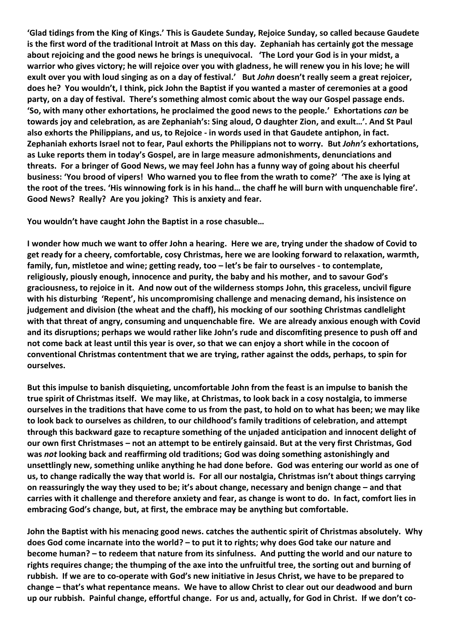**'Glad tidings from the King of Kings.' This is Gaudete Sunday, Rejoice Sunday, so called because Gaudete is the first word of the traditional Introit at Mass on this day. Zephaniah has certainly got the message about rejoicing and the good news he brings is unequivocal. 'The Lord your God is in your midst, a warrior who gives victory; he will rejoice over you with gladness, he will renew you in his love; he will exult over you with loud singing as on a day of festival.' But** *John* **doesn't really seem a great rejoicer, does he? You wouldn't, I think, pick John the Baptist if you wanted a master of ceremonies at a good party, on a day of festival. There's something almost comic about the way our Gospel passage ends. 'So, with many other exhortations, he proclaimed the good news to the people.' Exhortations** *can* **be towards joy and celebration, as are Zephaniah's: Sing aloud, O daughter Zion, and exult…'. And St Paul also exhorts the Philippians, and us, to Rejoice - in words used in that Gaudete antiphon, in fact. Zephaniah exhorts Israel not to fear, Paul exhorts the Philippians not to worry. But** *John's* **exhortations, as Luke reports them in today's Gospel, are in large measure admonishments, denunciations and threats. For a bringer of Good News, we may feel John has a funny way of going about his cheerful business: 'You brood of vipers! Who warned you to flee from the wrath to come?' 'The axe is lying at the root of the trees. 'His winnowing fork is in his hand… the chaff he will burn with unquenchable fire'. Good News? Really? Are you joking? This is anxiety and fear.**

**You wouldn't have caught John the Baptist in a rose chasuble…**

**I wonder how much we want to offer John a hearing. Here we are, trying under the shadow of Covid to get ready for a cheery, comfortable, cosy Christmas, here we are looking forward to relaxation, warmth, family, fun, mistletoe and wine; getting ready, too – let's be fair to ourselves - to contemplate, religiously, piously enough, innocence and purity, the baby and his mother, and to savour God's graciousness, to rejoice in it. And now out of the wilderness stomps John, this graceless, uncivil figure with his disturbing 'Repent', his uncompromising challenge and menacing demand, his insistence on judgement and division (the wheat and the chaff), his mocking of our soothing Christmas candlelight with that threat of angry, consuming and unquenchable fire. We are already anxious enough with Covid and its disruptions; perhaps we would rather like John's rude and discomfiting presence to push off and not come back at least until this year is over, so that we can enjoy a short while in the cocoon of conventional Christmas contentment that we are trying, rather against the odds, perhaps, to spin for ourselves.**

**But this impulse to banish disquieting, uncomfortable John from the feast is an impulse to banish the true spirit of Christmas itself. We may like, at Christmas, to look back in a cosy nostalgia, to immerse ourselves in the traditions that have come to us from the past, to hold on to what has been; we may like to look back to ourselves as children, to our childhood's family traditions of celebration, and attempt through this backward gaze to recapture something of the unjaded anticipation and innocent delight of our own first Christmases – not an attempt to be entirely gainsaid. But at the very first Christmas, God was** *not* **looking back and reaffirming old traditions; God was doing something astonishingly and unsettlingly new, something unlike anything he had done before. God was entering our world as one of us, to change radically the way that world is. For all our nostalgia, Christmas isn't about things carrying on reassuringly the way they used to be; it's about change, necessary and benign change – and that carries with it challenge and therefore anxiety and fear, as change is wont to do. In fact, comfort lies in embracing God's change, but, at first, the embrace may be anything but comfortable.**

**John the Baptist with his menacing good news. catches the authentic spirit of Christmas absolutely. Why does God come incarnate into the world? – to put it to rights; why does God take our nature and become human? – to redeem that nature from its sinfulness. And putting the world and our nature to rights requires change; the thumping of the axe into the unfruitful tree, the sorting out and burning of rubbish. If we are to co-operate with God's new initiative in Jesus Christ, we have to be prepared to change – that's what repentance means. We have to allow Christ to clear out our deadwood and burn up our rubbish. Painful change, effortful change. For us and, actually, for God in Christ. If we don't co-**